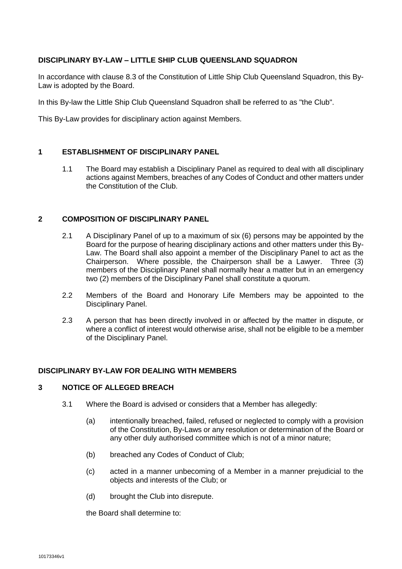# **DISCIPLINARY BY-LAW – LITTLE SHIP CLUB QUEENSLAND SQUADRON**

In accordance with clause 8.3 of the Constitution of Little Ship Club Queensland Squadron, this By-Law is adopted by the Board.

In this By-law the Little Ship Club Queensland Squadron shall be referred to as "the Club".

This By-Law provides for disciplinary action against Members.

## **1 ESTABLISHMENT OF DISCIPLINARY PANEL**

1.1 The Board may establish a Disciplinary Panel as required to deal with all disciplinary actions against Members, breaches of any Codes of Conduct and other matters under the Constitution of the Club.

### **2 COMPOSITION OF DISCIPLINARY PANEL**

- 2.1 A Disciplinary Panel of up to a maximum of six (6) persons may be appointed by the Board for the purpose of hearing disciplinary actions and other matters under this By-Law. The Board shall also appoint a member of the Disciplinary Panel to act as the Chairperson. Where possible, the Chairperson shall be a Lawyer. Three (3) members of the Disciplinary Panel shall normally hear a matter but in an emergency two (2) members of the Disciplinary Panel shall constitute a quorum.
- 2.2 Members of the Board and Honorary Life Members may be appointed to the Disciplinary Panel.
- 2.3 A person that has been directly involved in or affected by the matter in dispute, or where a conflict of interest would otherwise arise, shall not be eligible to be a member of the Disciplinary Panel.

## **DISCIPLINARY BY-LAW FOR DEALING WITH MEMBERS**

#### **3 NOTICE OF ALLEGED BREACH**

- 3.1 Where the Board is advised or considers that a Member has allegedly:
	- (a) intentionally breached, failed, refused or neglected to comply with a provision of the Constitution, By-Laws or any resolution or determination of the Board or any other duly authorised committee which is not of a minor nature;
	- (b) breached any Codes of Conduct of Club;
	- (c) acted in a manner unbecoming of a Member in a manner prejudicial to the objects and interests of the Club; or
	- (d) brought the Club into disrepute.

the Board shall determine to: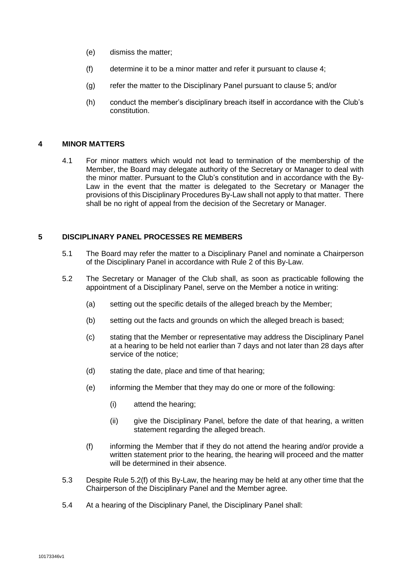- (e) dismiss the matter;
- (f) determine it to be a minor matter and refer it pursuant to clause 4;
- (g) refer the matter to the Disciplinary Panel pursuant to clause 5; and/or
- (h) conduct the member's disciplinary breach itself in accordance with the Club's constitution.

### **4 MINOR MATTERS**

4.1 For minor matters which would not lead to termination of the membership of the Member, the Board may delegate authority of the Secretary or Manager to deal with the minor matter. Pursuant to the Club's constitution and in accordance with the By-Law in the event that the matter is delegated to the Secretary or Manager the provisions of this Disciplinary Procedures By-Law shall not apply to that matter. There shall be no right of appeal from the decision of the Secretary or Manager.

## **5 DISCIPLINARY PANEL PROCESSES RE MEMBERS**

- 5.1 The Board may refer the matter to a Disciplinary Panel and nominate a Chairperson of the Disciplinary Panel in accordance with Rule 2 of this By-Law.
- 5.2 The Secretary or Manager of the Club shall, as soon as practicable following the appointment of a Disciplinary Panel, serve on the Member a notice in writing:
	- (a) setting out the specific details of the alleged breach by the Member;
	- (b) setting out the facts and grounds on which the alleged breach is based;
	- (c) stating that the Member or representative may address the Disciplinary Panel at a hearing to be held not earlier than 7 days and not later than 28 days after service of the notice;
	- (d) stating the date, place and time of that hearing;
	- (e) informing the Member that they may do one or more of the following:
		- (i) attend the hearing;
		- (ii) give the Disciplinary Panel, before the date of that hearing, a written statement regarding the alleged breach.
	- (f) informing the Member that if they do not attend the hearing and/or provide a written statement prior to the hearing, the hearing will proceed and the matter will be determined in their absence.
- 5.3 Despite Rule 5.2(f) of this By-Law, the hearing may be held at any other time that the Chairperson of the Disciplinary Panel and the Member agree.
- 5.4 At a hearing of the Disciplinary Panel, the Disciplinary Panel shall: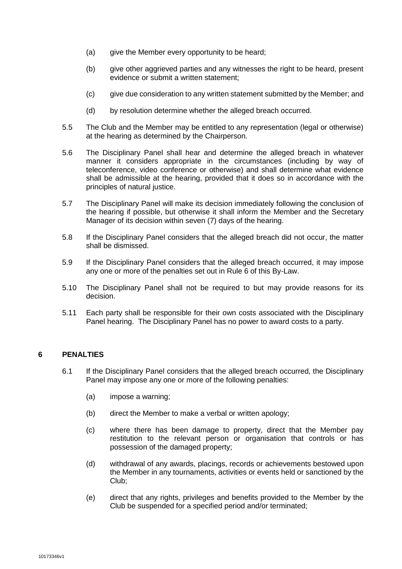- (a) give the Member every opportunity to be heard;
- (b) give other aggrieved parties and any witnesses the right to be heard, present evidence or submit a written statement;
- (c) give due consideration to any written statement submitted by the Member; and
- (d) by resolution determine whether the alleged breach occurred.
- 5.5 The Club and the Member may be entitled to any representation (legal or otherwise) at the hearing as determined by the Chairperson.
- 5.6 The Disciplinary Panel shall hear and determine the alleged breach in whatever manner it considers appropriate in the circumstances (including by way of teleconference, video conference or otherwise) and shall determine what evidence shall be admissible at the hearing, provided that it does so in accordance with the principles of natural justice.
- 5.7 The Disciplinary Panel will make its decision immediately following the conclusion of the hearing if possible, but otherwise it shall inform the Member and the Secretary Manager of its decision within seven (7) days of the hearing.
- 5.8 If the Disciplinary Panel considers that the alleged breach did not occur, the matter shall be dismissed.
- 5.9 If the Disciplinary Panel considers that the alleged breach occurred, it may impose any one or more of the penalties set out in Rule 6 of this By-Law.
- 5.10 The Disciplinary Panel shall not be required to but may provide reasons for its decision.
- 5.11 Each party shall be responsible for their own costs associated with the Disciplinary Panel hearing. The Disciplinary Panel has no power to award costs to a party.

### **6 PENALTIES**

- 6.1 If the Disciplinary Panel considers that the alleged breach occurred, the Disciplinary Panel may impose any one or more of the following penalties:
	- (a) impose a warning;
	- (b) direct the Member to make a verbal or written apology;
	- (c) where there has been damage to property, direct that the Member pay restitution to the relevant person or organisation that controls or has possession of the damaged property;
	- (d) withdrawal of any awards, placings, records or achievements bestowed upon the Member in any tournaments, activities or events held or sanctioned by the Club;
	- (e) direct that any rights, privileges and benefits provided to the Member by the Club be suspended for a specified period and/or terminated;